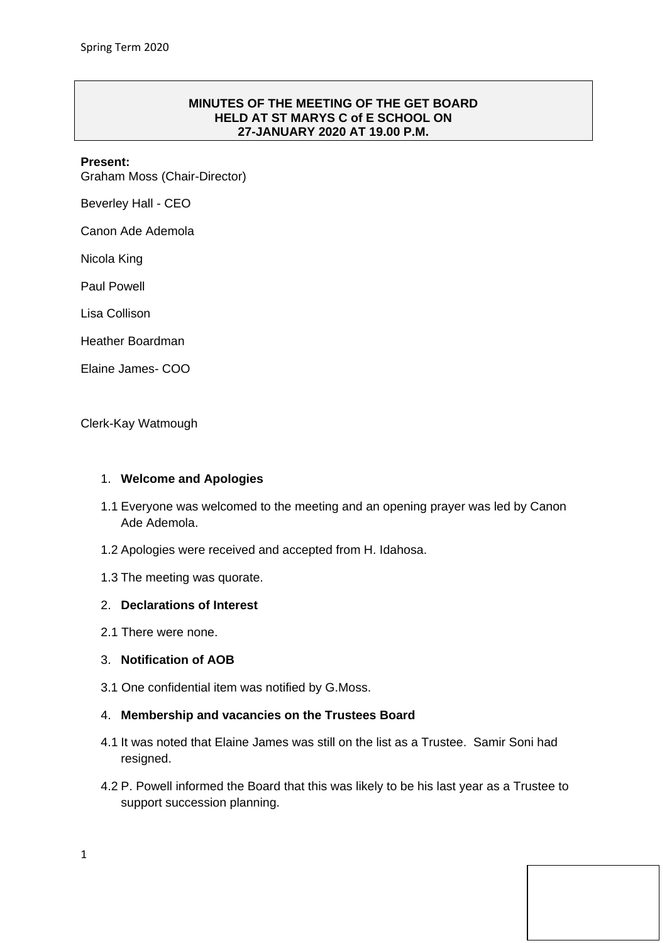## **MINUTES OF THE MEETING OF THE GET BOARD HELD AT ST MARYS C of E SCHOOL ON 27-JANUARY 2020 AT 19.00 P.M.**

### **Present:**

Graham Moss (Chair-Director)

Beverley Hall - CEO

Canon Ade Ademola

Nicola King

Paul Powell

Lisa Collison

Heather Boardman

Elaine James- COO

Clerk-Kay Watmough

#### 1. **Welcome and Apologies**

- 1.1 Everyone was welcomed to the meeting and an opening prayer was led by Canon Ade Ademola.
- 1.2 Apologies were received and accepted from H. Idahosa.
- 1.3 The meeting was quorate.

#### 2. **Declarations of Interest**

2.1 There were none.

## 3. **Notification of AOB**

3.1 One confidential item was notified by G.Moss.

#### 4. **Membership and vacancies on the Trustees Board**

- 4.1 It was noted that Elaine James was still on the list as a Trustee. Samir Soni had resigned.
- 4.2 P. Powell informed the Board that this was likely to be his last year as a Trustee to support succession planning.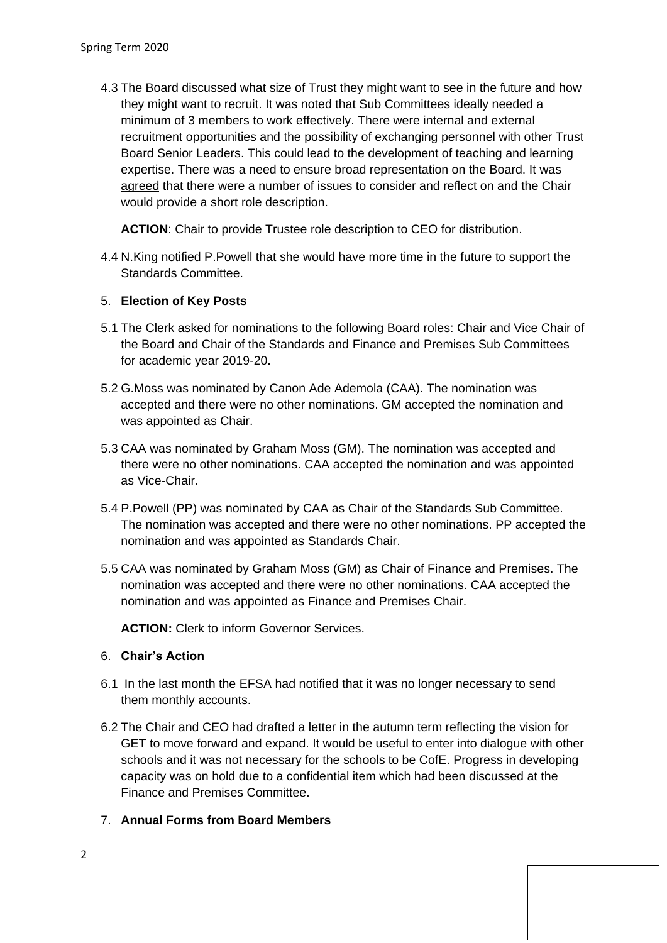4.3 The Board discussed what size of Trust they might want to see in the future and how they might want to recruit. It was noted that Sub Committees ideally needed a minimum of 3 members to work effectively. There were internal and external recruitment opportunities and the possibility of exchanging personnel with other Trust Board Senior Leaders. This could lead to the development of teaching and learning expertise. There was a need to ensure broad representation on the Board. It was agreed that there were a number of issues to consider and reflect on and the Chair would provide a short role description.

ACTION: Chair to provide Trustee role description to CEO for distribution.

4.4 N.King notified P.Powell that she would have more time in the future to support the Standards Committee.

# 5. **Election of Key Posts**

- 5.1 The Clerk asked for nominations to the following Board roles: Chair and Vice Chair of the Board and Chair of the Standards and Finance and Premises Sub Committees for academic year 2019-20**.**
- 5.2 G.Moss was nominated by Canon Ade Ademola (CAA). The nomination was accepted and there were no other nominations. GM accepted the nomination and was appointed as Chair.
- 5.3 CAA was nominated by Graham Moss (GM). The nomination was accepted and there were no other nominations. CAA accepted the nomination and was appointed as Vice-Chair.
- 5.4 P.Powell (PP) was nominated by CAA as Chair of the Standards Sub Committee. The nomination was accepted and there were no other nominations. PP accepted the nomination and was appointed as Standards Chair.
- 5.5 CAA was nominated by Graham Moss (GM) as Chair of Finance and Premises. The nomination was accepted and there were no other nominations. CAA accepted the nomination and was appointed as Finance and Premises Chair.

**ACTION:** Clerk to inform Governor Services.

## 6. **Chair's Action**

- 6.1 In the last month the EFSA had notified that it was no longer necessary to send them monthly accounts.
- 6.2 The Chair and CEO had drafted a letter in the autumn term reflecting the vision for GET to move forward and expand. It would be useful to enter into dialogue with other schools and it was not necessary for the schools to be CofE. Progress in developing capacity was on hold due to a confidential item which had been discussed at the Finance and Premises Committee.
- 7. **Annual Forms from Board Members**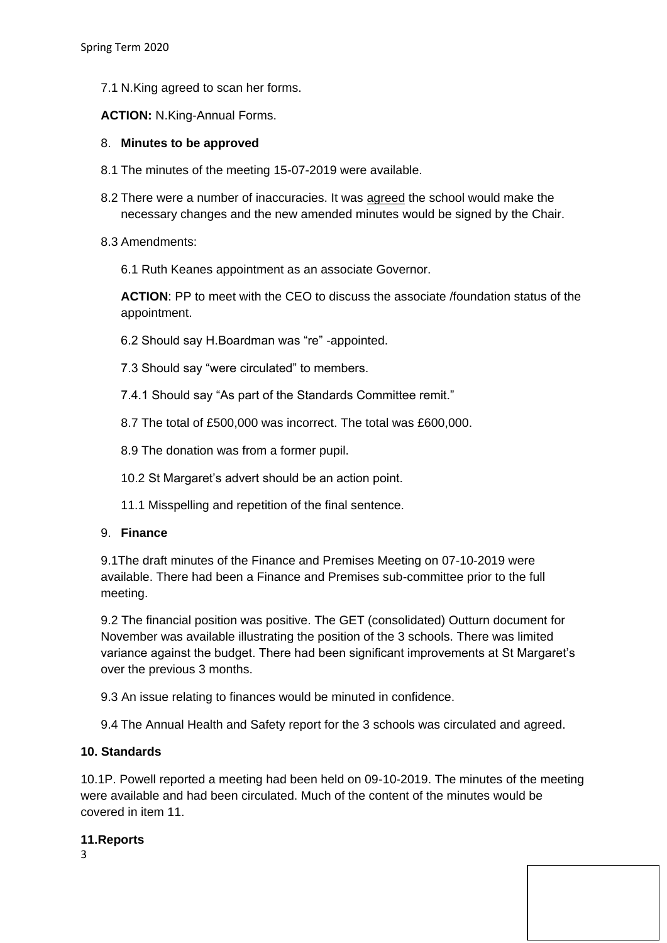7.1 N.King agreed to scan her forms.

**ACTION:** N.King-Annual Forms.

# 8. **Minutes to be approved**

- 8.1 The minutes of the meeting 15-07-2019 were available.
- 8.2 There were a number of inaccuracies. It was agreed the school would make the necessary changes and the new amended minutes would be signed by the Chair.
- 8.3 Amendments:
	- 6.1 Ruth Keanes appointment as an associate Governor.

**ACTION**: PP to meet with the CEO to discuss the associate /foundation status of the appointment.

- 6.2 Should say H.Boardman was "re" -appointed.
- 7.3 Should say "were circulated" to members.
- 7.4.1 Should say "As part of the Standards Committee remit."
- 8.7 The total of £500,000 was incorrect. The total was £600,000.
- 8.9 The donation was from a former pupil.
- 10.2 St Margaret's advert should be an action point.
- 11.1 Misspelling and repetition of the final sentence.

## 9. **Finance**

9.1The draft minutes of the Finance and Premises Meeting on 07-10-2019 were available. There had been a Finance and Premises sub-committee prior to the full meeting.

9.2 The financial position was positive. The GET (consolidated) Outturn document for November was available illustrating the position of the 3 schools. There was limited variance against the budget. There had been significant improvements at St Margaret's over the previous 3 months.

9.3 An issue relating to finances would be minuted in confidence.

9.4 The Annual Health and Safety report for the 3 schools was circulated and agreed.

# **10. Standards**

10.1P. Powell reported a meeting had been held on 09-10-2019. The minutes of the meeting were available and had been circulated. Much of the content of the minutes would be covered in item 11.

## **11.Reports**

3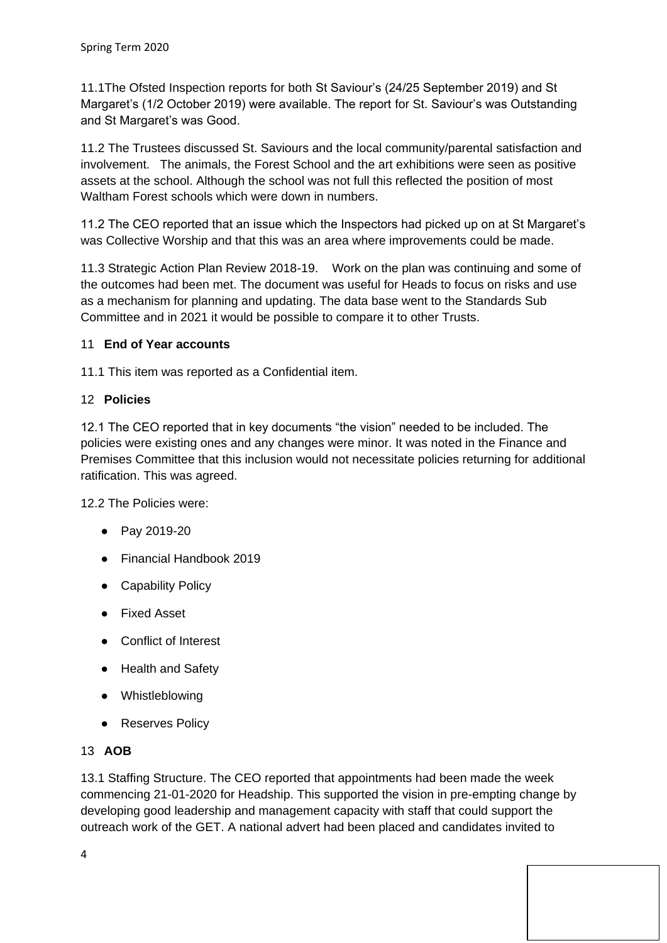11.1The Ofsted Inspection reports for both St Saviour's (24/25 September 2019) and St Margaret's (1/2 October 2019) were available. The report for St. Saviour's was Outstanding and St Margaret's was Good.

11.2 The Trustees discussed St. Saviours and the local community/parental satisfaction and involvement. The animals, the Forest School and the art exhibitions were seen as positive assets at the school. Although the school was not full this reflected the position of most Waltham Forest schools which were down in numbers.

11.2 The CEO reported that an issue which the Inspectors had picked up on at St Margaret's was Collective Worship and that this was an area where improvements could be made.

11.3 Strategic Action Plan Review 2018-19. Work on the plan was continuing and some of the outcomes had been met. The document was useful for Heads to focus on risks and use as a mechanism for planning and updating. The data base went to the Standards Sub Committee and in 2021 it would be possible to compare it to other Trusts.

# 11 **End of Year accounts**

11.1 This item was reported as a Confidential item.

# 12 **Policies**

12.1 The CEO reported that in key documents "the vision" needed to be included. The policies were existing ones and any changes were minor. It was noted in the Finance and Premises Committee that this inclusion would not necessitate policies returning for additional ratification. This was agreed.

12.2 The Policies were:

- Pay 2019-20
- Financial Handbook 2019
- Capability Policy
- Fixed Asset
- Conflict of Interest
- Health and Safety
- Whistleblowing
- Reserves Policy

## 13 **AOB**

13.1 Staffing Structure. The CEO reported that appointments had been made the week commencing 21-01-2020 for Headship. This supported the vision in pre-empting change by developing good leadership and management capacity with staff that could support the outreach work of the GET. A national advert had been placed and candidates invited to